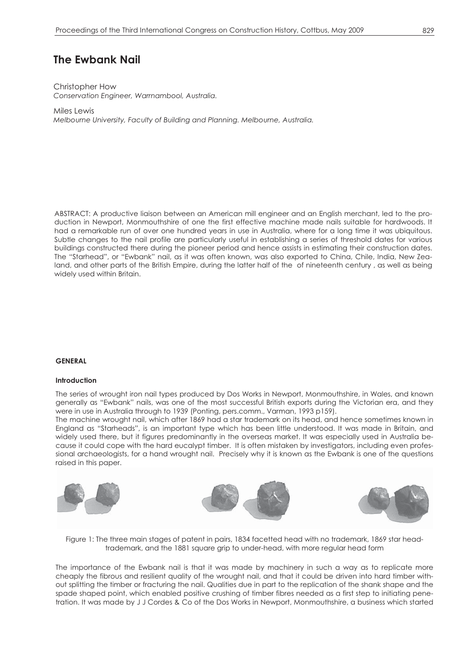# **The Ewbank Nail**

Christopher How *Conservation Engineer, Warrnambool, Australia.* 

Miles Lewis *Melbourne University, Faculty of Building and Planning. Melbourne, Australia.* 

ABSTRACT: A productive liaison between an American mill engineer and an English merchant, led to the production in Newport, Monmouthshire of one the first effective machine made nails suitable for hardwoods. It had a remarkable run of over one hundred years in use in Australia, where for a long time it was ubiquitous. Subtle changes to the nail profile are particularly useful in establishing a series of threshold dates for various buildings constructed there during the pioneer period and hence assists in estimating their construction dates. The "Starhead", or "Ewbank" nail, as it was often known, was also exported to China, Chile, India, New Zealand, and other parts of the British Empire, during the latter half of the of nineteenth century , as well as being widely used within Britain.

## **GENERAL**

## **Introduction**

The series of wrought iron nail types produced by Dos Works in Newport, Monmouthshire, in Wales, and known generally as "Ewbank" nails, was one of the most successful British exports during the Victorian era, and they were in use in Australia through to 1939 (Ponting, pers.comm., Varman, 1993 p159).

The machine wrought nail, which after 1869 had a star trademark on its head, and hence sometimes known in England as "Starheads", is an important type which has been little understood. It was made in Britain, and widely used there, but it figures predominantly in the overseas market. It was especially used in Australia because it could cope with the hard eucalypt timber. It is often mistaken by investigators, including even professional archaeologists, for a hand wrought nail. Precisely why it is known as the Ewbank is one of the questions raised in this paper.



Figure 1: The three main stages of patent in pairs, 1834 facetted head with no trademark, 1869 star headtrademark, and the 1881 square grip to under-head, with more regular head form

The importance of the Ewbank nail is that it was made by machinery in such a way as to replicate more cheaply the fibrous and resilient quality of the wrought nail, and that it could be driven into hard timber without splitting the timber or fracturing the nail. Qualities due in part to the replication of the shank shape and the spade shaped point, which enabled positive crushing of timber fibres needed as a first step to initiating penetration. It was made by J J Cordes & Co of the Dos Works in Newport, Monmouthshire, a business which started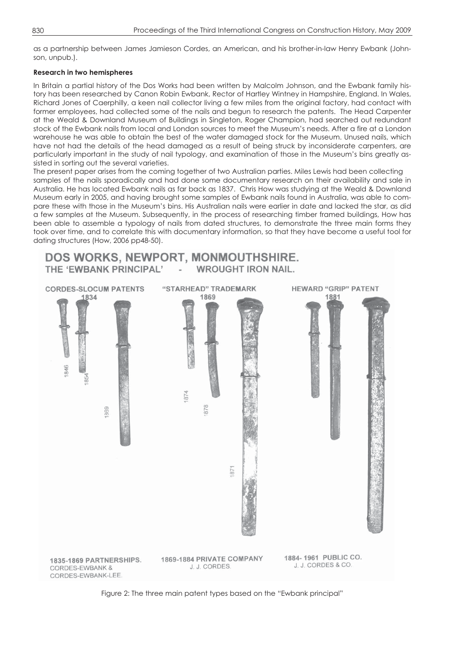as a partnership between James Jamieson Cordes, an American, and his brother-in-law Henry Ewbank (Johnson, unpub.).

# **Research in two hemispheres**

In Britain a partial history of the Dos Works had been written by Malcolm Johnson, and the Ewbank family history has been researched by Canon Robin Ewbank, Rector of Hartley Wintney in Hampshire, England. In Wales, Richard Jones of Caerphilly, a keen nail collector living a few miles from the original factory, had contact with former employees, had collected some of the nails and begun to research the patents. The Head Carpenter at the Weald & Downland Museum of Buildings in Singleton, Roger Champion, had searched out redundant stock of the Ewbank nails from local and London sources to meet the Museum's needs. After a fire at a London warehouse he was able to obtain the best of the water damaged stock for the Museum. Unused nails, which have not had the details of the head damaged as a result of being struck by inconsiderate carpenters, are particularly important in the study of nail typology, and examination of those in the Museum's bins greatly assisted in sorting out the several varieties.

The present paper arises from the coming together of two Australian parties. Miles Lewis had been collecting samples of the nails sporadically and had done some documentary research on their availability and sale in Australia. He has located Ewbank nails as far back as 1837. Chris How was studying at the Weald & Downland Museum early in 2005, and having brought some samples of Ewbank nails found in Australia, was able to compare these with those in the Museum's bins. His Australian nails were earlier in date and lacked the star, as did a few samples at the Museum. Subsequently, in the process of researching timber framed buildings, How has been able to assemble a typology of nails from dated structures, to demonstrate the three main forms they took over time, and to correlate this with documentary information, so that they have become a useful tool for dating structures (How, 2006 pp48-50).



Figure 2: The three main patent types based on the "Ewbank principal"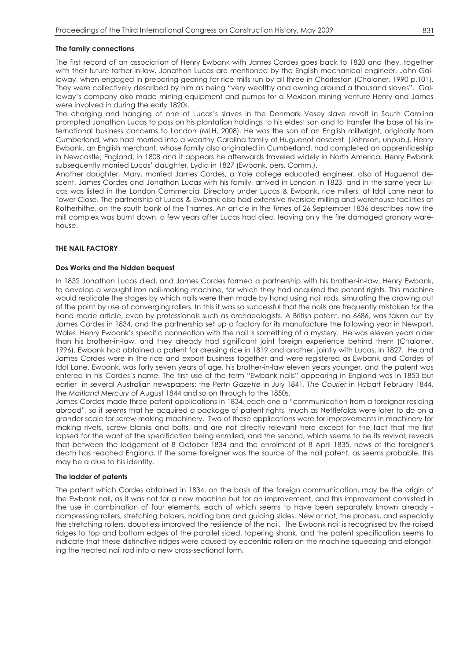## **The family connections**

The first record of an association of Henry Ewbank with James Cordes goes back to 1820 and they, together with their future father-in-law, Jonathon Lucas are mentioned by the English mechanical engineer, John Galloway, when engaged in preparing gearing for rice mills run by all three in Charleston (Chaloner, 1990 p.101). They were collectively described by him as being "very wealthy and owning around a thousand slaves". Galloway's company also made mining equipment and pumps for a Mexican mining venture Henry and James were involved in during the early 1820s.

The charging and hanging of one of Lucas's slaves in the Denmark Vesey slave revolt in South Carolina prompted Jonathon Lucas to pass on his plantation holdings to his eldest son and to transfer the base of his international business concerns to London (MLH, 2008). He was the son of an English millwright, originally from Cumberland, who had married into a wealthy Carolina family of Huguenot descent. (Johnson, unpub.). Henry Ewbank, an English merchant, whose family also originated in Cumberland, had completed an apprenticeship in Newcastle, England, in 1808 and it appears he afterwards traveled widely in North America. Henry Ewbank subsequently married Lucas' daughter, Lydia in 1827 (Ewbank, pers. Comm.).

Another daughter, Mary, married James Cordes, a Yale college educated engineer, also of Huguenot descent. James Cordes and Jonathon Lucas with his family, arrived in London in 1823, and in the same year Lucas was listed in the London Commercial Directory under Lucas & Ewbank, rice millers, at Idol Lane near to Tower Close. The partnership of Lucas & Ewbank also had extensive riverside milling and warehouse facilities at Rotherhithe, on the south bank of the Thames. An article in the *Times* of 26 September 1836 describes how the mill complex was burnt down, a few years after Lucas had died, leaving only the fire damaged granary warehouse.

# **THE NAIL FACTORY**

## **Dos Works and the hidden bequest**

In 1832 Jonathon Lucas died, and James Cordes formed a partnership with his brother-in-law, Henry Ewbank, to develop a wrought iron nail-making machine, for which they had acquired the patent rights. This machine would replicate the stages by which nails were then made by hand using nail rods, simulating the drawing out of the point by use of converging rollers. In this it was so successful that the nails are frequently mistaken for the hand made article, even by professionals such as archaeologists. A British patent, no 6686, was taken out by James Cordes in 1834, and the partnership set up a factory for its manufacture the following year in Newport, Wales. Henry Ewbank's specific connection with the nail is something of a mystery. He was eleven years older than his brother-in-law, and they already had significant joint foreign experience behind them (Chaloner, 1996). Ewbank had obtained a patent for dressing rice in 1819 and another, jointly with Lucas, in 1827. He and James Cordes were in the rice and export business together and were registered as Ewbank and Cordes of Idol Lane. Ewbank, was forty seven years of age, his brother-in-law eleven years younger, and the patent was entered in his Cordes's name. The first use of the term "Ewbank nails" appearing in England was in 1853 but earlier in several Australian newspapers: the *Perth Gazette* in July 1841, *The Courier* in Hobart February 1844, the *Maitland Mercury* of August 1844 and so on through to the 1850s.

James Cordes made three patent applications in 1834, each one a "communication from a foreigner residing abroad", so it seems that he acquired a package of patent rights, much as Nettlefolds were later to do on a grander scale for screw-making machinery. Two of these applications were for improvements in machinery for making rivets, screw blanks and bolts, and are not directly relevant here except for the fact that the first lapsed for the want of the specification being enrolled, and the second, which seems to be its revival, reveals that between the lodgement of 8 October 1834 and the enrolment of 8 April 1835, news of the foreigner's death has reached England. If the same foreigner was the source of the nail patent, as seems probable, this may be a clue to his identity.

## **The ladder of patents**

The patent which Cordes obtained in 1834, on the basis of the foreign communication, may be the origin of the Ewbank nail, as it was not for a new machine but for an improvement, and this improvement consisted in the use in combination of four elements, each of which seems to have been separately known already compressing rollers, stretching holders, holding bars and guiding slides. New or not, the process, and especially the stretching rollers, doubtless improved the resilience of the nail. The Ewbank nail is recognised by the raised ridges to top and bottom edges of the parallel sided, tapering shank, and the patent specification seems to indicate that these distinctive ridges were caused by eccentric rollers on the machine squeezing and elongating the heated nail rod into a new cross-sectional form.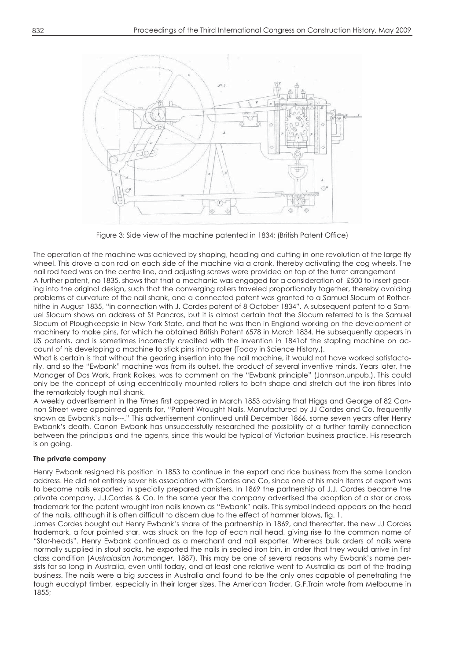

Figure 3: Side view of the machine patented in 1834; (British Patent Office)

The operation of the machine was achieved by shaping, heading and cutting in one revolution of the large fly wheel. This drove a con rod on each side of the machine via a crank, thereby activating the cog wheels. The nail rod feed was on the centre line, and adjusting screws were provided on top of the turret arrangement

A further patent, no 1835, shows that that a mechanic was engaged for a consideration of £500 to insert gearing into the original design, such that the converging rollers traveled proportionally together, thereby avoiding problems of curvature of the nail shank, and a connected patent was granted to a Samuel Slocum of Rotherhithe in August 1835, "in connection with J. Cordes patent of 8 October 1834". A subsequent patent to a Samuel Slocum shows an address at St Pancras, but it is almost certain that the Slocum referred to is the Samuel Slocum of Ploughkeepsie in New York State, and that he was then in England working on the development of machinery to make pins, for which he obtained British Patent 6578 in March 1834. He subsequently appears in US patents, and is sometimes incorrectly credited with the invention in 1841of the stapling machine on account of his developing a machine to stick pins into paper (Today in Science History.).

What is certain is that without the gearing insertion into the nail machine, it would not have worked satisfactorily, and so the "Ewbank" machine was from its outset, the product of several inventive minds. Years later, the Manager of Dos Work, Frank Raikes, was to comment on the "Ewbank principle" (Johnson,unpub.). This could only be the concept of using eccentrically mounted rollers to both shape and stretch out the iron fibres into the remarkably tough nail shank.

A weekly advertisement in the *Times* first appeared in March 1853 advising that Higgs and George of 82 Cannon Street were appointed agents for, "Patent Wrought Nails. Manufactured by JJ Cordes and Co, frequently known as Ewbank's nails---." This advertisement continued until December 1866, some seven years after Henry Ewbank's death. Canon Ewbank has unsuccessfully researched the possibility of a further family connection between the principals and the agents, since this would be typical of Victorian business practice. His research is on going.

## **The private company**

Henry Ewbank resigned his position in 1853 to continue in the export and rice business from the same London address. He did not entirely sever his association with Cordes and Co, since one of his main items of export was to become nails exported in specially prepared canisters. In 1869 the partnership of J.J. Cordes became the private company, J.J.Cordes & Co. In the same year the company advertised the adoption of a star or cross trademark for the patent wrought iron nails known as "Ewbank" nails. This symbol indeed appears on the head of the nails, although it is often difficult to discern due to the effect of hammer blows, fig. 1.

James Cordes bought out Henry Ewbank's share of the partnership in 1869, and thereafter, the new JJ Cordes trademark, a four pointed star, was struck on the top of each nail head, giving rise to the common name of "Star-heads". Henry Ewbank continued as a merchant and nail exporter. Whereas bulk orders of nails were normally supplied in stout sacks, he exported the nails in sealed iron bin, in order that they would arrive in first class condition (*Australasian Ironmonger*, 1887). This may be one of several reasons why Ewbank's name persists for so long in Australia, even until today, and at least one relative went to Australia as part of the trading business. The nails were a big success in Australia and found to be the only ones capable of penetrating the tough eucalypt timber, especially in their larger sizes. The American Trader, G.F.Train wrote from Melbourne in 1855;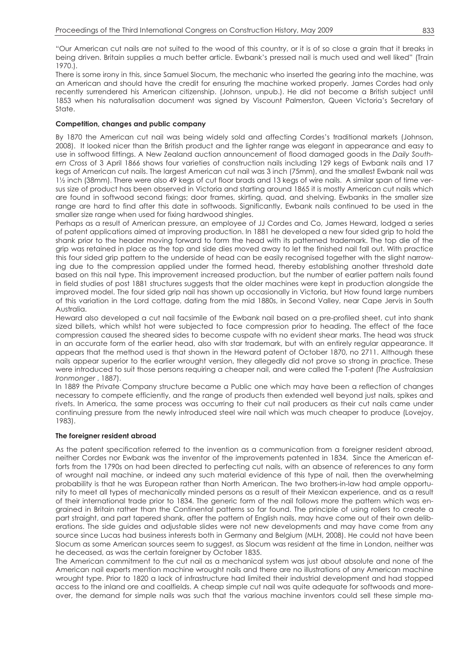"Our American cut nails are not suited to the wood of this country, or it is of so close a grain that it breaks in being driven. Britain supplies a much better article. Ewbank's pressed nail is much used and well liked" (Train 1970.).

There is some irony in this, since Samuel Slocum, the mechanic who inserted the gearing into the machine, was an American and should have the credit for ensuring the machine worked properly. James Cordes had only recently surrendered his American citizenship. (Johnson, unpub.). He did not become a British subject until 1853 when his naturalisation document was signed by Viscount Palmerston, Queen Victoria's Secretary of State.

# **Competition, changes and public company**

By 1870 the American cut nail was being widely sold and affecting Cordes's traditional markets (Johnson, 2008). It looked nicer than the British product and the lighter range was elegant in appearance and easy to use in softwood fittings. A New Zealand auction announcement of flood damaged goods in the *Daily Southern Cross* of 3 April 1866 shows four varieties of construction nails including 129 kegs of Ewbank nails and 17 kegs of American cut nails. The largest American cut nail was 3 inch (75mm), and the smallest Ewbank nail was 1½ inch (38mm). There were also 49 kegs of cut floor brads and 13 kegs of wire nails. A similar span of time versus size of product has been observed in Victoria and starting around 1865 it is mostly American cut nails which are found in softwood second fixings; door frames, skirting, quad, and shelving. Ewbanks in the smaller size range are hard to find after this date in softwoods. Significantly, Ewbank nails continued to be used in the smaller size range when used for fixing hardwood shingles.

Perhaps as a result of American pressure, an employee of JJ Cordes and Co, James Heward, lodged a series of patent applications aimed at improving production. In 1881 he developed a new four sided grip to hold the shank prior to the header moving forward to form the head with its patterned trademark. The top die of the grip was retained in place as the top and side dies moved away to let the finished nail fall out. With practice this four sided grip pattern to the underside of head can be easily recognised together with the slight narrowing due to the compression applied under the formed head, thereby establishing another threshold date based on this nail type. This improvement increased production, but the number of earlier pattern nails found in field studies of post 1881 structures suggests that the older machines were kept in production alongside the improved model. The four sided grip nail has shown up occasionally in Victoria, but How found large numbers of this variation in the Lord cottage, dating from the mid 1880s, in Second Valley, near Cape Jervis in South Australia.

Heward also developed a cut nail facsimile of the Ewbank nail based on a pre-profiled sheet, cut into shank sized billets, which whilst hot were subjected to face compression prior to heading. The effect of the face compression caused the sheared sides to become cuspate with no evident shear marks. The head was struck in an accurate form of the earlier head, also with star trademark, but with an entirely regular appearance. It appears that the method used is that shown in the Heward patent of October 1870, no 2711. Although these nails appear superior to the earlier wrought version, they allegedly did not prove so strong in practice. These were introduced to suit those persons requiring a cheaper nail, and were called the T-patent (*The Australasian Ironmonger* , 1887).

In 1889 the Private Company structure became a Public one which may have been a reflection of changes necessary to compete efficiently, and the range of products then extended well beyond just nails, spikes and rivets. In America, the same process was occurring to their cut nail producers as their cut nails came under continuing pressure from the newly introduced steel wire nail which was much cheaper to produce (Lovejoy, 1983).

## **The foreigner resident abroad**

As the patent specification referred to the invention as a communication from a foreigner resident abroad, neither Cordes nor Ewbank was the inventor of the improvements patented in 1834. Since the American efforts from the 1790s on had been directed to perfecting cut nails, with an absence of references to any form of wrought nail machine, or indeed any such material evidence of this type of nail, then the overwhelming probability is that he was European rather than North American. The two brothers-in-law had ample opportunity to meet all types of mechanically minded persons as a result of their Mexican experience, and as a result of their international trade prior to 1834. The generic form of the nail follows more the pattern which was engrained in Britain rather than the Continental patterns so far found. The principle of using rollers to create a part straight, and part tapered shank, after the pattern of English nails, may have come out of their own deliberations. The side guides and adjustable slides were not new developments and may have come from any source since Lucas had business interests both in Germany and Belgium (MLH, 2008). He could not have been Slocum as some American sources seem to suggest, as Slocum was resident at the time in London, neither was he deceased, as was the certain foreigner by October 1835.

The American commitment to the cut nail as a mechanical system was just about absolute and none of the American nail experts mention machine wrought nails and there are no illustrations of any American machine wrought type. Prior to 1820 a lack of infrastructure had limited their industrial development and had stopped access to the inland ore and coalfields. A cheap simple cut nail was quite adequate for softwoods and moreover, the demand for simple nails was such that the various machine inventors could sell these simple ma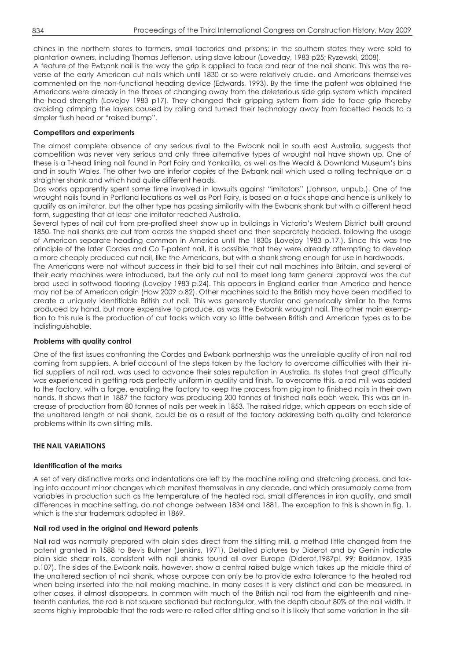chines in the northern states to farmers, small factories and prisons; in the southern states they were sold to plantation owners, including Thomas Jefferson, using slave labour (Loveday, 1983 p25; Ryzewski, 2008).

A feature of the Ewbank nail is the way the grip is applied to face and rear of the nail shank. This was the reverse of the early American cut nails which until 1830 or so were relatively crude, and Americans themselves commented on the non-functional heading device (Edwards, 1993). By the time the patent was obtained the Americans were already in the throes of changing away from the deleterious side grip system which impaired the head strength (Lovejoy 1983 p17). They changed their gripping system from side to face grip thereby avoiding crimping the layers caused by rolling and turned their technology away from facetted heads to a simpler flush head or "raised bump".

# **Competitors and experiments**

The almost complete absence of any serious rival to the Ewbank nail in south east Australia, suggests that competition was never very serious and only three alternative types of wrought nail have shown up. One of these is a T-head lining nail found in Port Fairy and Yankalilla, as well as the Weald & Downland Museum's bins and in south Wales. The other two are inferior copies of the Ewbank nail which used a rolling technique on a straighter shank and which had quite different heads.

Dos works apparently spent some time involved in lawsuits against "imitators" (Johnson, unpub.). One of the wrought nails found in Portland locations as well as Port Fairy, is based on a tack shape and hence is unlikely to qualify as an imitator, but the other type has passing similarity with the Ewbank shank but with a different head form, suggesting that at least one imitator reached Australia.

Several types of nail cut from pre-profiled sheet show up in buildings in Victoria's Western District built around 1850. The nail shanks are cut from across the shaped sheet and then separately headed, following the usage of American separate heading common in America until the 1830s (Lovejoy 1983 p.17.). Since this was the principle of the later Cordes and Co T-patent nail, it is possible that they were already attempting to develop a more cheaply produced cut nail, like the Americans, but with a shank strong enough for use in hardwoods.

The Americans were not without success in their bid to sell their cut nail machines into Britain, and several of their early machines were introduced, but the only cut nail to meet long term general approval was the cut brad used in softwood flooring (Lovejoy 1983 p.24). This appears in England earlier than America and hence may not be of American origin (How 2009 p.82). Other machines sold to the British may have been modified to create a uniquely identifiable British cut nail. This was generally sturdier and generically similar to the forms produced by hand, but more expensive to produce, as was the Ewbank wrought nail. The other main exemption to this rule is the production of cut tacks which vary so little between British and American types as to be indistinguishable.

# **Problems with quality control**

One of the first issues confronting the Cordes and Ewbank partnership was the unreliable quality of iron nail rod coming from suppliers. A brief account of the steps taken by the factory to overcome difficulties with their initial suppliers of nail rod, was used to advance their sales reputation in Australia. Its states that great difficulty was experienced in getting rods perfectly uniform in quality and finish. To overcome this, a rod mill was added to the factory, with a forge, enabling the factory to keep the process from pig iron to finished nails in their own hands. It shows that in 1887 the factory was producing 200 tonnes of finished nails each week. This was an increase of production from 80 tonnes of nails per week in 1853. The raised ridge, which appears on each side of the unaltered length of nail shank, could be as a result of the factory addressing both quality and tolerance problems within its own slitting mills.

# **THE NAIL VARIATIONS**

## **Identification of the marks**

A set of very distinctive marks and indentations are left by the machine rolling and stretching process, and taking into account minor changes which manifest themselves in any decade, and which presumably come from variables in production such as the temperature of the heated rod, small differences in iron quality, and small differences in machine setting, do not change between 1834 and 1881. The exception to this is shown in fig. 1, which is the star trademark adopted in 1869.

## **Nail rod used in the original and Heward patents**

Nail rod was normally prepared with plain sides direct from the slitting mill, a method little changed from the patent granted in 1588 to Bevis Bulmer (Jenkins, 1971). Detailed pictures by Diderot and by Genin indicate plain side shear rolls, consistent with nail shanks found all over Europe (Diderot,1987pl. 99; Baklanov, 1935 p.107). The sides of the Ewbank nails, however, show a central raised bulge which takes up the middle third of the unaltered section of nail shank, whose purpose can only be to provide extra tolerance to the heated rod when being inserted into the nail making machine. In many cases it is very distinct and can be measured. In other cases, it almost disappears. In common with much of the British nail rod from the eighteenth and nineteenth centuries, the rod is not square sectioned but rectangular, with the depth about 80% of the nail width. It seems highly improbable that the rods were re-rolled after slitting and so it is likely that some variation in the slit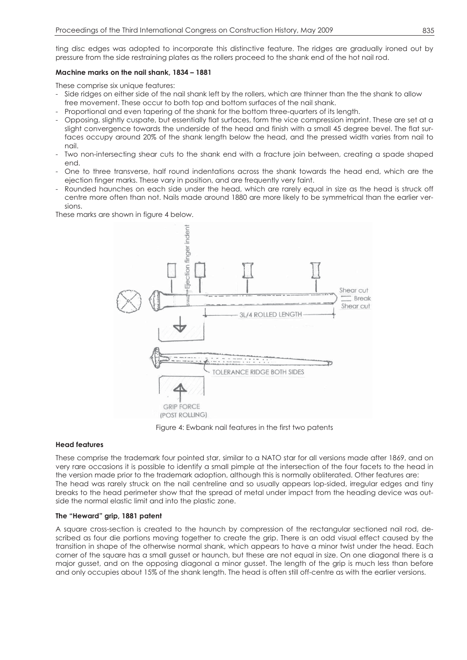ting disc edges was adopted to incorporate this distinctive feature. The ridges are gradually ironed out by pressure from the side restraining plates as the rollers proceed to the shank end of the hot nail rod.

## **Machine marks on the nail shank, 1834 – 1881**

These comprise six unique features:

- Side ridges on either side of the nail shank left by the rollers, which are thinner than the the shank to allow free movement. These occur to both top and bottom surfaces of the nail shank.
- Proportional and even tapering of the shank for the bottom three-quarters of its length.
- Opposing, slightly cuspate, but essentially flat surfaces, form the vice compression imprint. These are set at a slight convergence towards the underside of the head and finish with a small 45 degree bevel. The flat surfaces occupy around 20% of the shank length below the head, and the pressed width varies from nail to nail.
- Two non-intersecting shear cuts to the shank end with a fracture join between, creating a spade shaped end.
- One to three transverse, half round indentations across the shank towards the head end, which are the ejection finger marks. These vary in position, and are frequently very faint.
- Rounded haunches on each side under the head, which are rarely equal in size as the head is struck off centre more often than not. Nails made around 1880 are more likely to be symmetrical than the earlier versions.

These marks are shown in figure 4 below.



Figure 4: Ewbank nail features in the first two patents

## **Head features**

These comprise the trademark four pointed star, similar to a NATO star for all versions made after 1869, and on very rare occasions it is possible to identify a small pimple at the intersection of the four facets to the head in the version made prior to the trademark adoption, although this is normally obliterated. Other features are: The head was rarely struck on the nail centreline and so usually appears lop-sided, irregular edges and tiny breaks to the head perimeter show that the spread of metal under impact from the heading device was outside the normal elastic limit and into the plastic zone.

## **The "Heward" grip, 1881 patent**

A square cross-section is created to the haunch by compression of the rectangular sectioned nail rod, described as four die portions moving together to create the grip. There is an odd visual effect caused by the transition in shape of the otherwise normal shank, which appears to have a minor twist under the head. Each corner of the square has a small gusset or haunch, but these are not equal in size. On one diagonal there is a major gusset, and on the opposing diagonal a minor gusset. The length of the grip is much less than before and only occupies about 15% of the shank length. The head is often still off-centre as with the earlier versions.